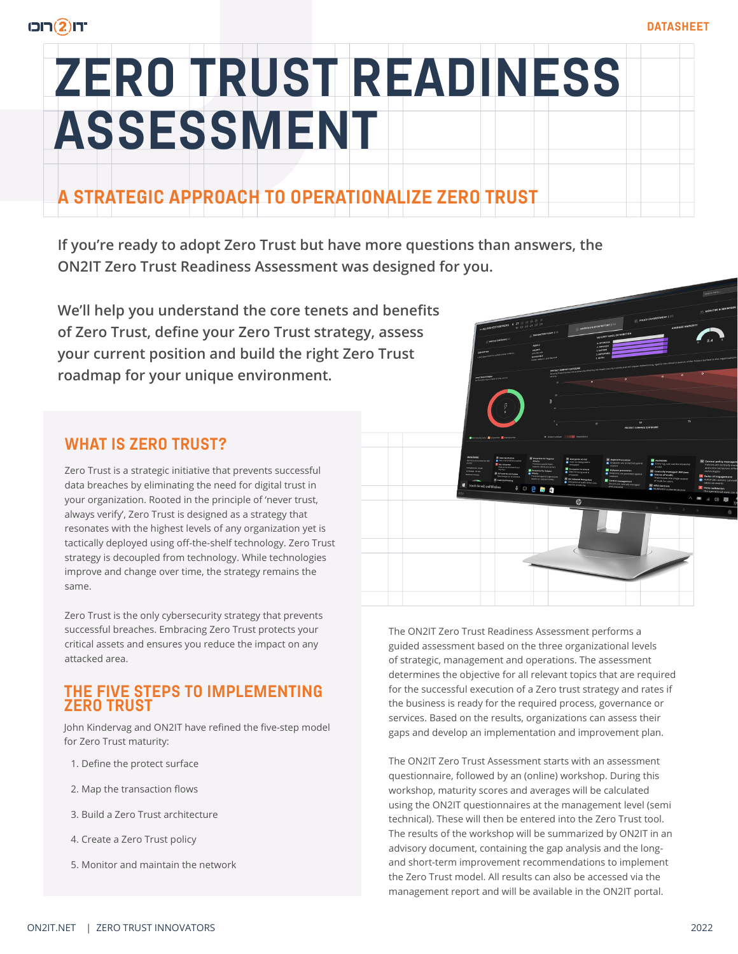# **ZERO TRUST READINESS ASSESSMENT**

### **A STRATEGIC APPROACH TO OPERATIONALIZE ZERO TRUST**

**If you're ready to adopt Zero Trust but have more questions than answers, the ON2IT Zero Trust Readiness Assessment was designed for you.** 

**We'll help you understand the core tenets and benefits of Zero Trust, define your Zero Trust strategy, assess your current position and build the right Zero Trust roadmap for your unique environment.**

#### **WHAT IS ZERO TRUST?**

Zero Trust is a strategic initiative that prevents successful data breaches by eliminating the need for digital trust in your organization. Rooted in the principle of 'never trust, always verify', Zero Trust is designed as a strategy that resonates with the highest levels of any organization yet is tactically deployed using off-the-shelf technology. Zero Trust strategy is decoupled from technology. While technologies improve and change over time, the strategy remains the same.

Zero Trust is the only cybersecurity strategy that prevents successful breaches. Embracing Zero Trust protects your critical assets and ensures you reduce the impact on any attacked area.

#### **THE FIVE STEPS TO IMPLEMENTING ZERO TRUST**

John Kindervag and ON2IT have refined the five-step model for Zero Trust maturity:

- 1. Define the protect surface
- 2. Map the transaction flows
- 3. Build a Zero Trust architecture
- 4. Create a Zero Trust policy
- 5. Monitor and maintain the network

The ON2IT Zero Trust Readiness Assessment performs a guided assessment based on the three organizational levels of strategic, management and operations. The assessment determines the objective for all relevant topics that are required for the successful execution of a Zero trust strategy and rates if the business is ready for the required process, governance or services. Based on the results, organizations can assess their gaps and develop an implementation and improvement plan.

The ON2IT Zero Trust Assessment starts with an assessment questionnaire, followed by an (online) workshop. During this workshop, maturity scores and averages will be calculated using the ON2IT questionnaires at the management level (semi technical). These will then be entered into the Zero Trust tool. The results of the workshop will be summarized by ON2IT in an advisory document, containing the gap analysis and the longand short-term improvement recommendations to implement the Zero Trust model. All results can also be accessed via the management report and will be available in the ON2IT portal.